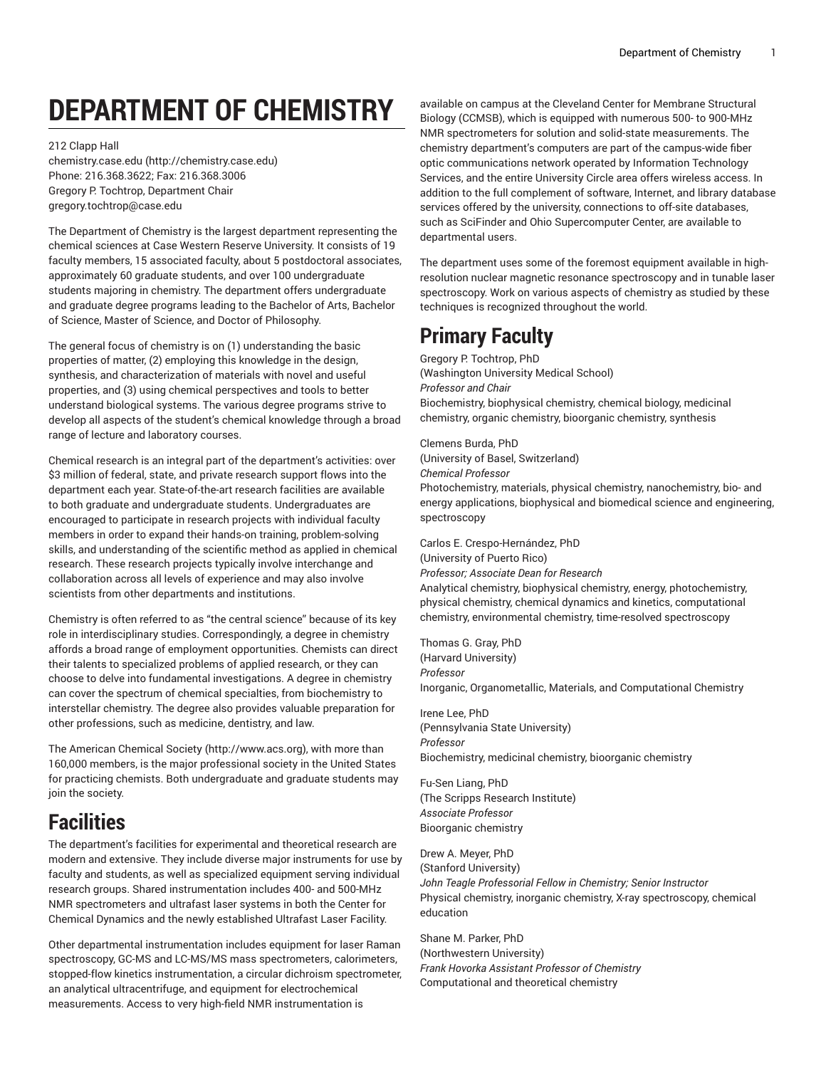# **DEPARTMENT OF CHEMISTRY**

212 Clapp Hall

[chemistry.case.edu \(http://chemistry.case.edu](http://chemistry.case.edu)) Phone: 216.368.3622; Fax: 216.368.3006 Gregory P. Tochtrop, Department Chair [gregory.tochtrop@case.edu](mailto:gregory.tochtrop@case.edu)

The Department of Chemistry is the largest department representing the chemical sciences at Case Western Reserve University. It consists of 19 faculty members, 15 associated faculty, about 5 postdoctoral associates, approximately 60 graduate students, and over 100 undergraduate students majoring in chemistry. The department offers undergraduate and graduate degree programs leading to the Bachelor of Arts, Bachelor of Science, Master of Science, and Doctor of Philosophy.

The general focus of chemistry is on (1) understanding the basic properties of matter, (2) employing this knowledge in the design, synthesis, and characterization of materials with novel and useful properties, and (3) using chemical perspectives and tools to better understand biological systems. The various degree programs strive to develop all aspects of the student's chemical knowledge through a broad range of lecture and laboratory courses.

Chemical research is an integral part of the department's activities: over \$3 million of federal, state, and private research support flows into the department each year. State-of-the-art research facilities are available to both graduate and undergraduate students. Undergraduates are encouraged to participate in research projects with individual faculty members in order to expand their hands-on training, problem-solving skills, and understanding of the scientific method as applied in chemical research. These research projects typically involve interchange and collaboration across all levels of experience and may also involve scientists from other departments and institutions.

Chemistry is often referred to as "the central science" because of its key role in interdisciplinary studies. Correspondingly, a degree in chemistry affords a broad range of employment opportunities. Chemists can direct their talents to specialized problems of applied research, or they can choose to delve into fundamental investigations. A degree in chemistry can cover the spectrum of chemical specialties, from biochemistry to interstellar chemistry. The degree also provides valuable preparation for other professions, such as medicine, dentistry, and law.

[The American Chemical Society](http://www.acs.org) (<http://www.acs.org>), with more than 160,000 members, is the major professional society in the United States for practicing chemists. Both undergraduate and graduate students may join the society.

## **Facilities**

The department's facilities for experimental and theoretical research are modern and extensive. They include diverse major instruments for use by faculty and students, as well as specialized equipment serving individual research groups. Shared instrumentation includes 400- and 500-MHz NMR spectrometers and ultrafast laser systems in both the Center for Chemical Dynamics and the newly established Ultrafast Laser Facility.

Other departmental instrumentation includes equipment for laser Raman spectroscopy, GC-MS and LC-MS/MS mass spectrometers, calorimeters, stopped-flow kinetics instrumentation, a circular dichroism spectrometer, an analytical ultracentrifuge, and equipment for electrochemical measurements. Access to very high-field NMR instrumentation is

available on campus at the Cleveland Center for Membrane Structural Biology (CCMSB), which is equipped with numerous 500- to 900-MHz NMR spectrometers for solution and solid-state measurements. The chemistry department's computers are part of the campus-wide fiber optic communications network operated by Information Technology Services, and the entire University Circle area offers wireless access. In addition to the full complement of software, Internet, and library database services offered by the university, connections to off-site databases, such as SciFinder and Ohio Supercomputer Center, are available to departmental users.

The department uses some of the foremost equipment available in highresolution nuclear magnetic resonance spectroscopy and in tunable laser spectroscopy. Work on various aspects of chemistry as studied by these techniques is recognized throughout the world.

## **Primary Faculty**

Gregory P. Tochtrop, PhD (Washington University Medical School) *Professor and Chair* Biochemistry, biophysical chemistry, chemical biology, medicinal chemistry, organic chemistry, bioorganic chemistry, synthesis

Clemens Burda, PhD (University of Basel, Switzerland) *Chemical Professor* Photochemistry, materials, physical chemistry, nanochemistry, bio- and energy applications, biophysical and biomedical science and engineering, spectroscopy

Carlos E. Crespo-Hernández, PhD (University of Puerto Rico) *Professor; Associate Dean for Research* Analytical chemistry, biophysical chemistry, energy, photochemistry, physical chemistry, chemical dynamics and kinetics, computational chemistry, environmental chemistry, time-resolved spectroscopy

Thomas G. Gray, PhD (Harvard University) *Professor* Inorganic, Organometallic, Materials, and Computational Chemistry

Irene Lee, PhD (Pennsylvania State University) *Professor* Biochemistry, medicinal chemistry, bioorganic chemistry

Fu-Sen Liang, PhD (The Scripps Research Institute) *Associate Professor* Bioorganic chemistry

Drew A. Meyer, PhD (Stanford University) *John Teagle Professorial Fellow in Chemistry; Senior Instructor* Physical chemistry, inorganic chemistry, X-ray spectroscopy, chemical education

Shane M. Parker, PhD (Northwestern University) *Frank Hovorka Assistant Professor of Chemistry* Computational and theoretical chemistry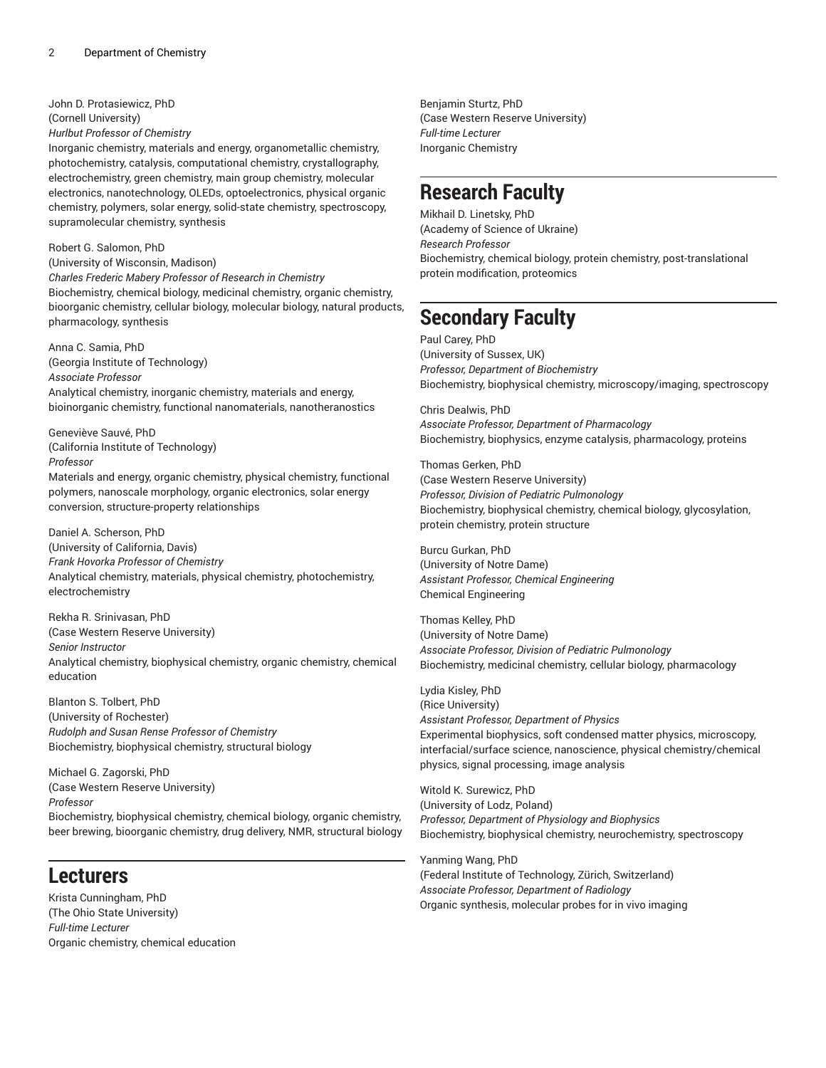John D. Protasiewicz, PhD (Cornell University)

*Hurlbut Professor of Chemistry*

Inorganic chemistry, materials and energy, organometallic chemistry, photochemistry, catalysis, computational chemistry, crystallography, electrochemistry, green chemistry, main group chemistry, molecular electronics, nanotechnology, OLEDs, optoelectronics, physical organic chemistry, polymers, solar energy, solid-state chemistry, spectroscopy, supramolecular chemistry, synthesis

Robert G. Salomon, PhD

(University of Wisconsin, Madison) *Charles Frederic Mabery Professor of Research in Chemistry* Biochemistry, chemical biology, medicinal chemistry, organic chemistry, bioorganic chemistry, cellular biology, molecular biology, natural products, pharmacology, synthesis

Anna C. Samia, PhD (Georgia Institute of Technology) *Associate Professor* Analytical chemistry, inorganic chemistry, materials and energy, bioinorganic chemistry, functional nanomaterials, nanotheranostics

Geneviève Sauvé, PhD (California Institute of Technology) *Professor* Materials and energy, organic chemistry, physical chemistry, functional polymers, nanoscale morphology, organic electronics, solar energy

conversion, structure-property relationships Daniel A. Scherson, PhD

(University of California, Davis) *Frank Hovorka Professor of Chemistry* Analytical chemistry, materials, physical chemistry, photochemistry, electrochemistry

Rekha R. Srinivasan, PhD (Case Western Reserve University) *Senior Instructor* Analytical chemistry, biophysical chemistry, organic chemistry, chemical education

Blanton S. Tolbert, PhD (University of Rochester) *Rudolph and Susan Rense Professor of Chemistry* Biochemistry, biophysical chemistry, structural biology

Michael G. Zagorski, PhD (Case Western Reserve University) *Professor* Biochemistry, biophysical chemistry, chemical biology, organic chemistry, beer brewing, bioorganic chemistry, drug delivery, NMR, structural biology

## **Lecturers**

Krista Cunningham, PhD (The Ohio State University) *Full-time Lecturer* Organic chemistry, chemical education

Benjamin Sturtz, PhD (Case Western Reserve University) *Full-time Lecturer* Inorganic Chemistry

## **Research Faculty**

Mikhail D. Linetsky, PhD (Academy of Science of Ukraine) *Research Professor* Biochemistry, chemical biology, protein chemistry, post-translational protein modification, proteomics

## **Secondary Faculty**

Paul Carey, PhD (University of Sussex, UK) *Professor, Department of Biochemistry* Biochemistry, biophysical chemistry, microscopy/imaging, spectroscopy

Chris Dealwis, PhD *Associate Professor, Department of Pharmacology* Biochemistry, biophysics, enzyme catalysis, pharmacology, proteins

Thomas Gerken, PhD (Case Western Reserve University) *Professor, Division of Pediatric Pulmonology* Biochemistry, biophysical chemistry, chemical biology, glycosylation, protein chemistry, protein structure

Burcu Gurkan, PhD (University of Notre Dame) *Assistant Professor, Chemical Engineering* Chemical Engineering

Thomas Kelley, PhD (University of Notre Dame) *Associate Professor, Division of Pediatric Pulmonology* Biochemistry, medicinal chemistry, cellular biology, pharmacology

Lydia Kisley, PhD (Rice University) *Assistant Professor, Department of Physics* Experimental biophysics, soft condensed matter physics, microscopy, interfacial/surface science, nanoscience, physical chemistry/chemical physics, signal processing, image analysis

Witold K. Surewicz, PhD (University of Lodz, Poland) *Professor, Department of Physiology and Biophysics* Biochemistry, biophysical chemistry, neurochemistry, spectroscopy

Yanming Wang, PhD (Federal Institute of Technology, Zürich, Switzerland) *Associate Professor, Department of Radiology* Organic synthesis, molecular probes for in vivo imaging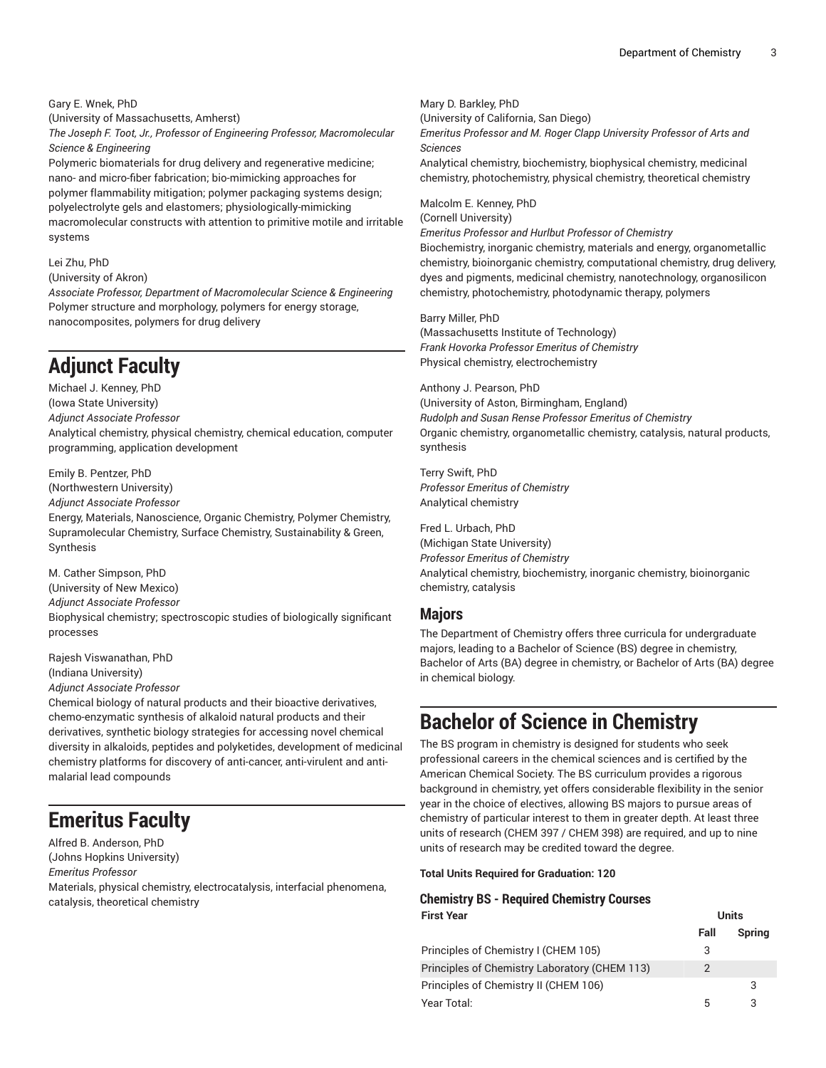Gary E. Wnek, PhD

(University of Massachusetts, Amherst)

*The Joseph F. Toot, Jr., Professor of Engineering Professor, Macromolecular Science & Engineering*

Polymeric biomaterials for drug delivery and regenerative medicine; nano- and micro-fiber fabrication; bio-mimicking approaches for polymer flammability mitigation; polymer packaging systems design; polyelectrolyte gels and elastomers; physiologically-mimicking macromolecular constructs with attention to primitive motile and irritable systems

#### Lei Zhu, PhD

(University of Akron)

*Associate Professor, Department of Macromolecular Science & Engineering* Polymer structure and morphology, polymers for energy storage, nanocomposites, polymers for drug delivery

## **Adjunct Faculty**

Michael J. Kenney, PhD (Iowa State University) *Adjunct Associate Professor* Analytical chemistry, physical chemistry, chemical education, computer programming, application development

Emily B. Pentzer, PhD (Northwestern University) *Adjunct Associate Professor*

Energy, Materials, Nanoscience, Organic Chemistry, Polymer Chemistry, Supramolecular Chemistry, Surface Chemistry, Sustainability & Green, Synthesis

M. Cather Simpson, PhD (University of New Mexico) *Adjunct Associate Professor* Biophysical chemistry; spectroscopic studies of biologically significant processes

Rajesh Viswanathan, PhD (Indiana University)

*Adjunct Associate Professor*

Chemical biology of natural products and their bioactive derivatives, chemo-enzymatic synthesis of alkaloid natural products and their derivatives, synthetic biology strategies for accessing novel chemical diversity in alkaloids, peptides and polyketides, development of medicinal chemistry platforms for discovery of anti-cancer, anti-virulent and antimalarial lead compounds

## **Emeritus Faculty**

Alfred B. Anderson, PhD (Johns Hopkins University) *Emeritus Professor* Materials, physical chemistry, electrocatalysis, interfacial phenomena, catalysis, theoretical chemistry

Mary D. Barkley, PhD

(University of California, San Diego)

*Emeritus Professor and M. Roger Clapp University Professor of Arts and Sciences*

Analytical chemistry, biochemistry, biophysical chemistry, medicinal chemistry, photochemistry, physical chemistry, theoretical chemistry

Malcolm E. Kenney, PhD

(Cornell University)

*Emeritus Professor and Hurlbut Professor of Chemistry*

Biochemistry, inorganic chemistry, materials and energy, organometallic chemistry, bioinorganic chemistry, computational chemistry, drug delivery, dyes and pigments, medicinal chemistry, nanotechnology, organosilicon chemistry, photochemistry, photodynamic therapy, polymers

Barry Miller, PhD

(Massachusetts Institute of Technology) *Frank Hovorka Professor Emeritus of Chemistry* Physical chemistry, electrochemistry

Anthony J. Pearson, PhD (University of Aston, Birmingham, England) *Rudolph and Susan Rense Professor Emeritus of Chemistry* Organic chemistry, organometallic chemistry, catalysis, natural products, synthesis

Terry Swift, PhD *Professor Emeritus of Chemistry* Analytical chemistry

Fred L. Urbach, PhD (Michigan State University) *Professor Emeritus of Chemistry* Analytical chemistry, biochemistry, inorganic chemistry, bioinorganic chemistry, catalysis

## **Majors**

The Department of Chemistry offers three curricula for undergraduate majors, leading to a Bachelor of Science (BS) degree in chemistry, Bachelor of Arts (BA) degree in chemistry, or Bachelor of Arts (BA) degree in chemical biology.

## **Bachelor of Science in Chemistry**

The BS program in chemistry is designed for students who seek professional careers in the chemical sciences and is certified by the American Chemical Society. The BS curriculum provides a rigorous background in chemistry, yet offers considerable flexibility in the senior year in the choice of electives, allowing BS majors to pursue areas of chemistry of particular interest to them in greater depth. At least three units of research (CHEM 397 / CHEM 398) are required, and up to nine units of research may be credited toward the degree.

### **Total Units Required for Graduation: 120**

### **Chemistry BS - Required Chemistry Courses First Year Units**

|                                               | Fall | <b>Spring</b> |
|-----------------------------------------------|------|---------------|
| Principles of Chemistry I (CHEM 105)          |      |               |
| Principles of Chemistry Laboratory (CHEM 113) |      |               |
| Principles of Chemistry II (CHEM 106)         |      | -3            |
| Year Total:                                   |      |               |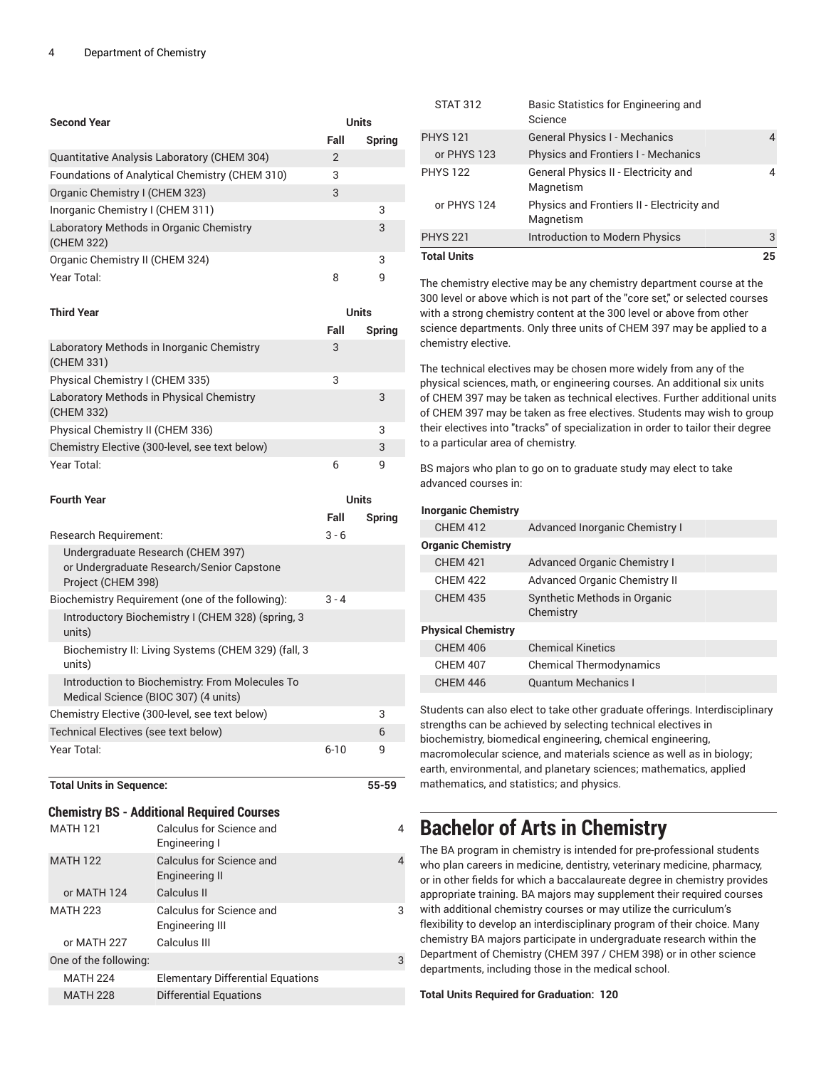| <b>Second Year</b>                                    | Units          |        |
|-------------------------------------------------------|----------------|--------|
|                                                       | Fall           | Spring |
| Quantitative Analysis Laboratory (CHEM 304)           | $\overline{2}$ |        |
| Foundations of Analytical Chemistry (CHEM 310)        | 3              |        |
| Organic Chemistry I (CHEM 323)                        | 3              |        |
| Inorganic Chemistry I (CHEM 311)                      |                | 3      |
| Laboratory Methods in Organic Chemistry<br>(CHEM 322) |                | 3      |
| Organic Chemistry II (CHEM 324)                       |                | 3      |
| Year Total:                                           | 8              | q      |

| <b>Third Year</b>                                       | Units |        |
|---------------------------------------------------------|-------|--------|
|                                                         | Fall  | Spring |
| Laboratory Methods in Inorganic Chemistry<br>(CHEM 331) | 3     |        |
| Physical Chemistry I (CHEM 335)                         | 3     |        |
| Laboratory Methods in Physical Chemistry<br>(CHEM 332)  |       | 3      |
| Physical Chemistry II (CHEM 336)                        |       | 3      |
| Chemistry Elective (300-level, see text below)          |       | 3      |
| Year Total:                                             | 6     | q      |

| <b>Fourth Year</b>                                                                                   |          | Units         |  |
|------------------------------------------------------------------------------------------------------|----------|---------------|--|
|                                                                                                      | Fall     | <b>Spring</b> |  |
| Research Requirement:                                                                                | $3 - 6$  |               |  |
| Undergraduate Research (CHEM 397)<br>or Undergraduate Research/Senior Capstone<br>Project (CHEM 398) |          |               |  |
| Biochemistry Requirement (one of the following):                                                     | $3 - 4$  |               |  |
| Introductory Biochemistry I (CHEM 328) (spring, 3<br>units)                                          |          |               |  |
| Biochemistry II: Living Systems (CHEM 329) (fall, 3<br>units)                                        |          |               |  |
| Introduction to Biochemistry: From Molecules To<br>Medical Science (BIOC 307) (4 units)              |          |               |  |
| Chemistry Elective (300-level, see text below)                                                       |          | 3             |  |
| Technical Electives (see text below)                                                                 |          | 6             |  |
| Year Total:                                                                                          | $6 - 10$ | q             |  |

### **Total Units in Sequence: 55-59**

## **Chemistry BS - Additional Required Courses**

| <b>MATH 121</b>       | Calculus for Science and<br>Engineering I   |   |
|-----------------------|---------------------------------------------|---|
| <b>MATH 122</b>       | Calculus for Science and<br>Engineering II  |   |
| or MATH 124           | Calculus II                                 |   |
| <b>MATH 223</b>       | Calculus for Science and<br>Engineering III | 3 |
| or MATH 227           | Calculus III                                |   |
| One of the following: |                                             | 3 |
| <b>MATH 224</b>       | <b>Elementary Differential Equations</b>    |   |
| <b>MATH 228</b>       | Differential Equations                      |   |

| <b>Total Units</b> |                                                         | 25 |
|--------------------|---------------------------------------------------------|----|
| <b>PHYS 221</b>    | Introduction to Modern Physics                          | 3  |
| or PHYS 124        | Physics and Frontiers II - Electricity and<br>Magnetism |    |
| <b>PHYS 122</b>    | General Physics II - Electricity and<br>Magnetism       |    |
| or PHYS 123        | <b>Physics and Frontiers I - Mechanics</b>              |    |
| <b>PHYS 121</b>    | <b>General Physics I - Mechanics</b>                    |    |
| <b>STAT 312</b>    | Basic Statistics for Engineering and<br>Science         |    |

The chemistry elective may be any chemistry department course at the 300 level or above which is not part of the "core set," or selected courses with a strong chemistry content at the 300 level or above from other science departments. Only three units of CHEM 397 may be applied to a chemistry elective.

The technical electives may be chosen more widely from any of the physical sciences, math, or engineering courses. An additional six units of CHEM 397 may be taken as technical electives. Further additional units of CHEM 397 may be taken as free electives. Students may wish to group their electives into "tracks" of specialization in order to tailor their degree to a particular area of chemistry.

BS majors who plan to go on to graduate study may elect to take advanced courses in:

### **Inorganic Chemistry**

| <b>CHEM 412</b>           | Advanced Inorganic Chemistry I            |
|---------------------------|-------------------------------------------|
| <b>Organic Chemistry</b>  |                                           |
| <b>CHEM 421</b>           | <b>Advanced Organic Chemistry I</b>       |
| <b>CHFM 422</b>           | Advanced Organic Chemistry II             |
| <b>CHEM 435</b>           | Synthetic Methods in Organic<br>Chemistry |
| <b>Physical Chemistry</b> |                                           |
| <b>CHEM 406</b>           | <b>Chemical Kinetics</b>                  |
| <b>CHEM 407</b>           | <b>Chemical Thermodynamics</b>            |
| <b>CHEM 446</b>           | <b>Quantum Mechanics I</b>                |

Students can also elect to take other graduate offerings. Interdisciplinary strengths can be achieved by selecting technical electives in biochemistry, biomedical engineering, chemical engineering, macromolecular science, and materials science as well as in biology; earth, environmental, and planetary sciences; mathematics, applied mathematics, and statistics; and physics.

## **Bachelor of Arts in Chemistry**

The BA program in chemistry is intended for pre-professional students who plan careers in medicine, dentistry, veterinary medicine, pharmacy, or in other fields for which a baccalaureate degree in chemistry provides appropriate training. BA majors may supplement their required courses with additional chemistry courses or may utilize the curriculum's flexibility to develop an interdisciplinary program of their choice. Many chemistry BA majors participate in undergraduate research within the Department of Chemistry (CHEM 397 / CHEM 398) or in other science departments, including those in the medical school.

**Total Units Required for Graduation: 120**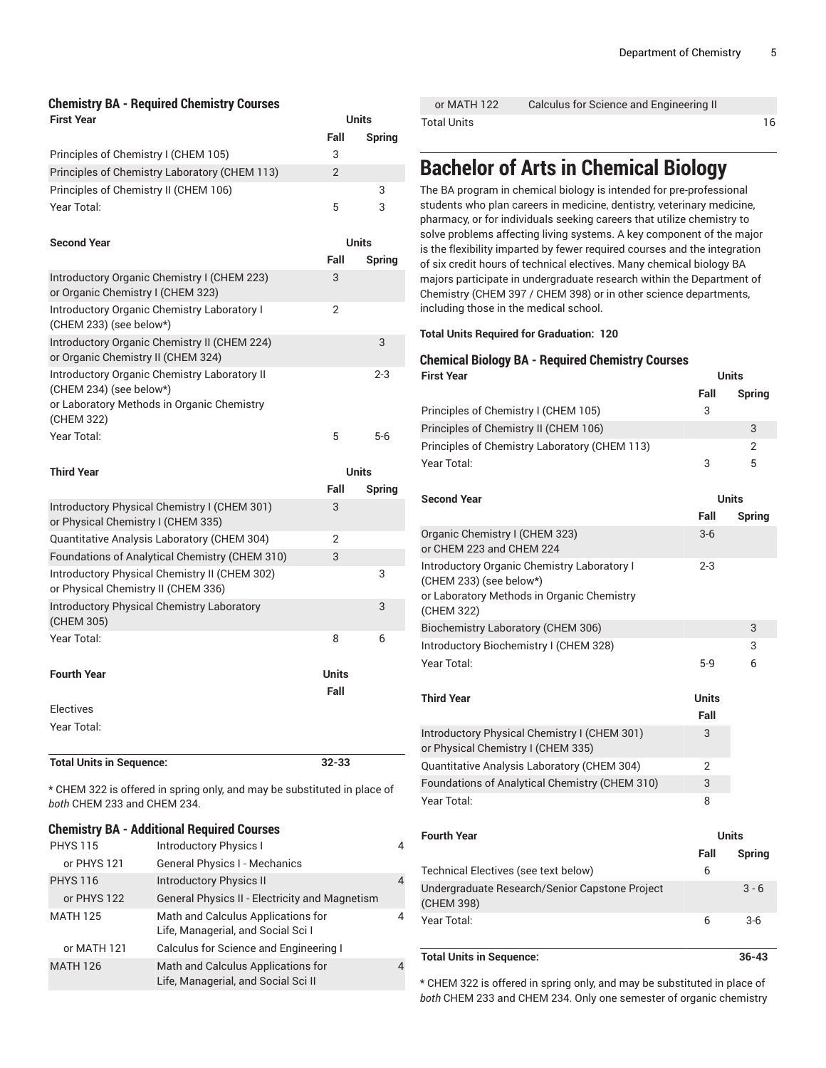### **Chemistry BA - Required Chemistry Courses First Year Units**

| Principles of Chemistry I (CHEM 105)                                                                                                | Fall<br>3      | Spring       |
|-------------------------------------------------------------------------------------------------------------------------------------|----------------|--------------|
| Principles of Chemistry Laboratory (CHEM 113)                                                                                       | $\overline{2}$ |              |
| Principles of Chemistry II (CHEM 106)                                                                                               |                | 3            |
| Year Total:                                                                                                                         | 5              | 3            |
|                                                                                                                                     |                |              |
| <b>Second Year</b>                                                                                                                  |                | <b>Units</b> |
|                                                                                                                                     | Fall           | Spring       |
| Introductory Organic Chemistry I (CHEM 223)<br>or Organic Chemistry I (CHEM 323)                                                    | 3              |              |
| Introductory Organic Chemistry Laboratory I<br>(CHEM 233) (see below*)                                                              | $\overline{2}$ |              |
| Introductory Organic Chemistry II (CHEM 224)<br>or Organic Chemistry II (CHEM 324)                                                  |                | 3            |
| Introductory Organic Chemistry Laboratory II<br>(CHEM 234) (see below*)<br>or Laboratory Methods in Organic Chemistry<br>(CHEM 322) |                | $2 - 3$      |
| Year Total:                                                                                                                         | 5              | $5-6$        |
| <b>Third Year</b>                                                                                                                   | <b>Units</b>   |              |
|                                                                                                                                     | Fall           | Spring       |
| Introductory Physical Chemistry I (CHEM 301)<br>or Physical Chemistry I (CHEM 335)                                                  | 3              |              |
| Quantitative Analysis Laboratory (CHEM 304)                                                                                         | $\overline{2}$ |              |
| Foundations of Analytical Chemistry (CHEM 310)                                                                                      | 3              |              |
| Introductory Physical Chemistry II (CHEM 302)<br>or Physical Chemistry II (CHEM 336)                                                |                | 3            |
| <b>Introductory Physical Chemistry Laboratory</b><br>(CHEM 305)                                                                     |                | 3            |
| Year Total:                                                                                                                         | 8              | 6            |
|                                                                                                                                     |                |              |
| <b>Fourth Year</b>                                                                                                                  | <b>Units</b>   |              |
|                                                                                                                                     | Fall           |              |
| <b>Electives</b>                                                                                                                    |                |              |
| Year Total:                                                                                                                         |                |              |
| <b>Total Units in Sequence:</b>                                                                                                     | $32 - 33$      |              |
| * CHEM 322 is offered in spring only, and may be substituted in place of<br>both CHEM 233 and CHEM 234.                             |                |              |

|                 | <b>Chemistry BA - Additional Required Courses</b>                         |                |
|-----------------|---------------------------------------------------------------------------|----------------|
| <b>PHYS 115</b> | <b>Introductory Physics I</b>                                             | 4              |
| or PHYS 121     | General Physics I - Mechanics                                             |                |
| <b>PHYS 116</b> | <b>Introductory Physics II</b>                                            | $\overline{4}$ |
| or PHYS 122     | <b>General Physics II - Electricity and Magnetism</b>                     |                |
| <b>MATH 125</b> | Math and Calculus Applications for<br>Life, Managerial, and Social Sci I  | 4              |
| or MATH 121     | Calculus for Science and Engineering I                                    |                |
| <b>MATH 126</b> | Math and Calculus Applications for<br>Life, Managerial, and Social Sci II | $\overline{4}$ |

| or MATH 122        | Calculus for Science and Engineering II |    |
|--------------------|-----------------------------------------|----|
| <b>Total Units</b> |                                         | 16 |

## **Bachelor of Arts in Chemical Biology**

The BA program in chemical biology is intended for pre-professional students who plan careers in medicine, dentistry, veterinary medicine, pharmacy, or for individuals seeking careers that utilize chemistry to solve problems affecting living systems. A key component of the major is the flexibility imparted by fewer required courses and the integration of six credit hours of technical electives. Many chemical biology BA majors participate in undergraduate research within the Department of Chemistry (CHEM 397 / CHEM 398) or in other science departments, including those in the medical school.

**Total Units Required for Graduation: 120**

## **Chemical Biology BA - Required Chemistry Courses First Year Units**

|                                               | Fall | Spring |
|-----------------------------------------------|------|--------|
| Principles of Chemistry I (CHEM 105)          | 3    |        |
| Principles of Chemistry II (CHEM 106)         |      | 3      |
| Principles of Chemistry Laboratory (CHEM 113) |      | 2      |
| Year Total:                                   | ₽    | 5      |

| <b>Second Year</b>                                                                                                                        | <b>Units</b>         |               |
|-------------------------------------------------------------------------------------------------------------------------------------------|----------------------|---------------|
|                                                                                                                                           | Fall                 | <b>Spring</b> |
| Organic Chemistry I (CHEM 323)<br>or CHEM 223 and CHEM 224                                                                                | $3-6$                |               |
| <b>Introductory Organic Chemistry Laboratory I</b><br>(CHEM 233) (see below*)<br>or Laboratory Methods in Organic Chemistry<br>(CHEM 322) | $2 - 3$              |               |
| Biochemistry Laboratory (CHEM 306)                                                                                                        |                      | 3             |
| Introductory Biochemistry I (CHEM 328)                                                                                                    |                      | 3             |
| Year Total:                                                                                                                               | $5-9$                | 6             |
| <b>Third Year</b>                                                                                                                         | <b>Units</b><br>Fall |               |
| Introductory Physical Chemistry I (CHEM 301)<br>or Physical Chemistry I (CHEM 335)                                                        | 3                    |               |
| Quantitative Analysis Laboratory (CHEM 304)                                                                                               | $\overline{2}$       |               |
| Foundations of Analytical Chemistry (CHEM 310)                                                                                            | 3                    |               |
| Year Total:                                                                                                                               | 8                    |               |
| <b>Fourth Year</b>                                                                                                                        | <b>Units</b>         |               |
|                                                                                                                                           | Fall                 | Spring        |
| Technical Electives (see text below)                                                                                                      | 6                    |               |
| Undergraduate Research/Senior Capstone Project<br>(CHEM 398)                                                                              |                      | $3 - 6$       |
| Year Total:                                                                                                                               | 6                    | $3-6$         |

### **Total Units in Sequence: 36-43**

\* CHEM 322 is offered in spring only, and may be substituted in place of *both* CHEM 233 and CHEM 234. Only one semester of organic chemistry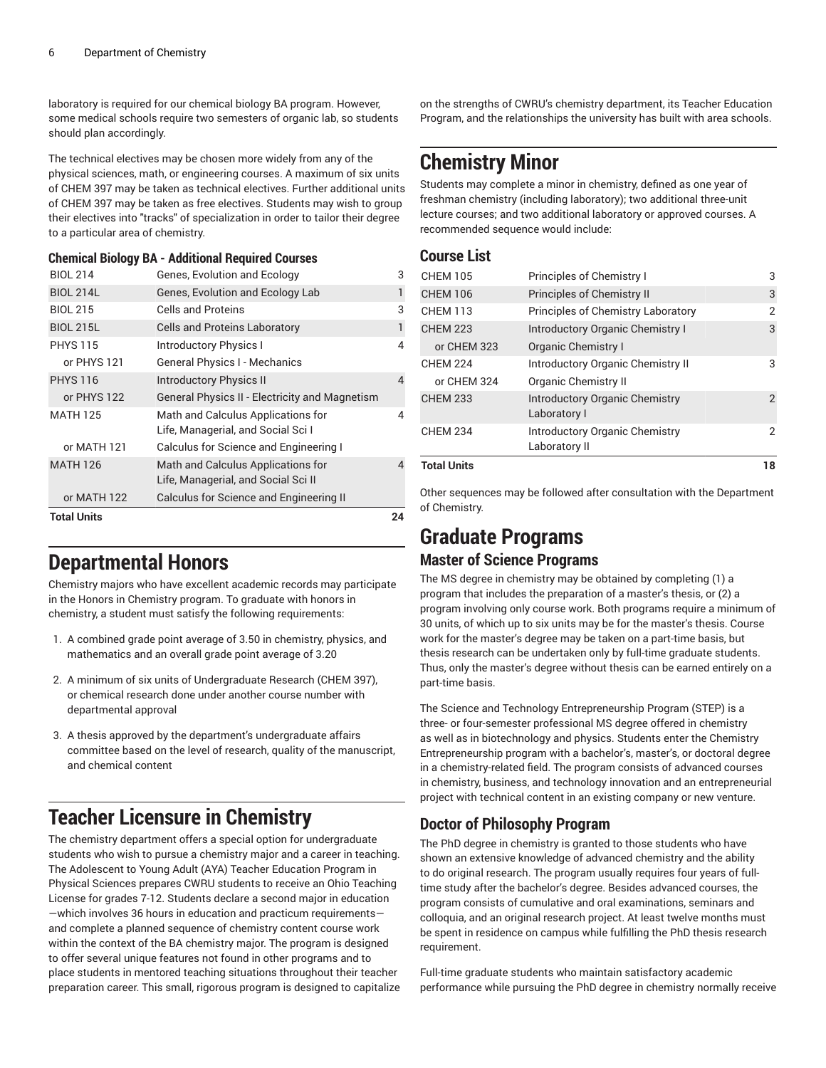laboratory is required for our chemical biology BA program. However, some medical schools require two semesters of organic lab, so students should plan accordingly.

The technical electives may be chosen more widely from any of the physical sciences, math, or engineering courses. A maximum of six units of CHEM 397 may be taken as technical electives. Further additional units of CHEM 397 may be taken as free electives. Students may wish to group their electives into "tracks" of specialization in order to tailor their degree to a particular area of chemistry.

### **Chemical Biology BA - Additional Required Courses**

| <b>BIOL 214</b>    | Genes, Evolution and Ecology                                             | 3  |
|--------------------|--------------------------------------------------------------------------|----|
| <b>BIOL 214L</b>   | Genes, Evolution and Ecology Lab                                         | 1  |
| <b>BIOL 215</b>    | Cells and Proteins                                                       | 3  |
| <b>BIOL 215L</b>   | <b>Cells and Proteins Laboratory</b>                                     | 1  |
| <b>PHYS 115</b>    | <b>Introductory Physics I</b>                                            | 4  |
| or PHYS 121        | General Physics I - Mechanics                                            |    |
| <b>PHYS 116</b>    | <b>Introductory Physics II</b>                                           | 4  |
| or PHYS 122        | <b>General Physics II - Electricity and Magnetism</b>                    |    |
| <b>MATH 125</b>    | Math and Calculus Applications for<br>Life, Managerial, and Social Sci I | 4  |
| or MATH 121        | Calculus for Science and Engineering I                                   |    |
| <b>MATH 126</b>    | Math and Calculus Applications for<br>Life, Managerial, and Social Scill | 4  |
| or MATH 122        | Calculus for Science and Engineering II                                  |    |
| <b>Total Units</b> |                                                                          | 24 |

## **Departmental Honors**

Chemistry majors who have excellent academic records may participate in the Honors in Chemistry program. To graduate with honors in chemistry, a student must satisfy the following requirements:

- 1. A combined grade point average of 3.50 in chemistry, physics, and mathematics and an overall grade point average of 3.20
- 2. A minimum of six units of Undergraduate Research (CHEM 397), or chemical research done under another course number with departmental approval
- 3. A thesis approved by the department's undergraduate affairs committee based on the level of research, quality of the manuscript, and chemical content

## **Teacher Licensure in Chemistry**

The chemistry department offers a special option for undergraduate students who wish to pursue a chemistry major and a career in teaching. The Adolescent to Young Adult (AYA) Teacher Education Program in Physical Sciences prepares CWRU students to receive an Ohio Teaching License for grades 7-12. Students declare a second major in education —which involves 36 hours in education and practicum requirements and complete a planned sequence of chemistry content course work within the context of the BA chemistry major. The program is designed to offer several unique features not found in other programs and to place students in mentored teaching situations throughout their teacher preparation career. This small, rigorous program is designed to capitalize

on the strengths of CWRU's chemistry department, its Teacher Education Program, and the relationships the university has built with area schools.

## **Chemistry Minor**

Students may complete a minor in chemistry, defined as one year of freshman chemistry (including laboratory); two additional three-unit lecture courses; and two additional laboratory or approved courses. A recommended sequence would include:

## **Course List**

| <b>Total Units</b> |                                                        | 18             |
|--------------------|--------------------------------------------------------|----------------|
| <b>CHEM 234</b>    | <b>Introductory Organic Chemistry</b><br>Laboratory II | 2              |
| <b>CHEM 233</b>    | Introductory Organic Chemistry<br>Laboratory I         | $\mathfrak{D}$ |
| or CHEM 324        | <b>Organic Chemistry II</b>                            |                |
| <b>CHEM 224</b>    | <b>Introductory Organic Chemistry II</b>               | 3              |
| or CHEM 323        | Organic Chemistry I                                    |                |
| <b>CHEM 223</b>    | <b>Introductory Organic Chemistry I</b>                | 3              |
| <b>CHEM 113</b>    | Principles of Chemistry Laboratory                     | 2              |
| <b>CHEM 106</b>    | Principles of Chemistry II                             | 3              |
| <b>CHEM 105</b>    | Principles of Chemistry I                              | 3              |
|                    |                                                        |                |

Other sequences may be followed after consultation with the Department of Chemistry.

## **Graduate Programs**

## **Master of Science Programs**

The MS degree in chemistry may be obtained by completing (1) a program that includes the preparation of a master's thesis, or (2) a program involving only course work. Both programs require a minimum of 30 units, of which up to six units may be for the master's thesis. Course work for the master's degree may be taken on a part-time basis, but thesis research can be undertaken only by full-time graduate students. Thus, only the master's degree without thesis can be earned entirely on a part-time basis.

The Science and Technology Entrepreneurship Program (STEP) is a three- or four-semester professional MS degree offered in chemistry as well as in biotechnology and physics. Students enter the Chemistry Entrepreneurship program with a bachelor's, master's, or doctoral degree in a chemistry-related field. The program consists of advanced courses in chemistry, business, and technology innovation and an entrepreneurial project with technical content in an existing company or new venture.

## **Doctor of Philosophy Program**

The PhD degree in chemistry is granted to those students who have shown an extensive knowledge of advanced chemistry and the ability to do original research. The program usually requires four years of fulltime study after the bachelor's degree. Besides advanced courses, the program consists of cumulative and oral examinations, seminars and colloquia, and an original research project. At least twelve months must be spent in residence on campus while fulfilling the PhD thesis research requirement.

Full-time graduate students who maintain satisfactory academic performance while pursuing the PhD degree in chemistry normally receive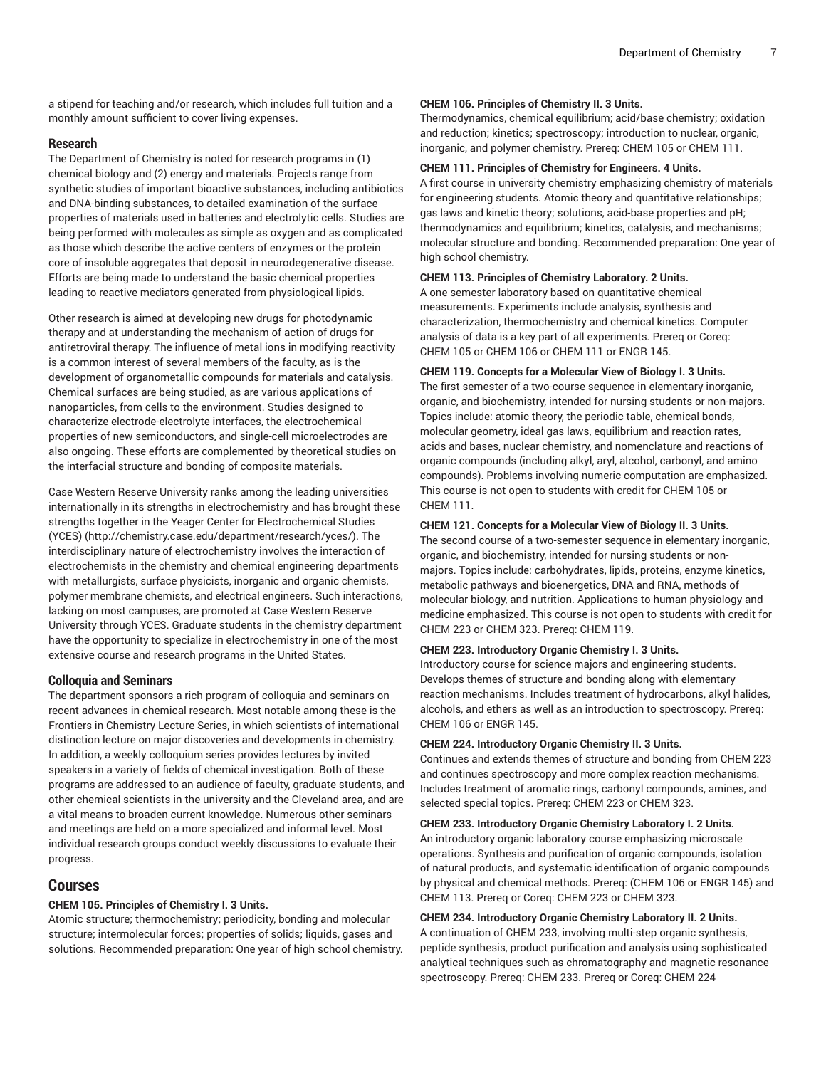a stipend for teaching and/or research, which includes full tuition and a monthly amount sufficient to cover living expenses.

#### **Research**

The Department of Chemistry is noted for research programs in (1) chemical biology and (2) energy and materials. Projects range from synthetic studies of important bioactive substances, including antibiotics and DNA-binding substances, to detailed examination of the surface properties of materials used in batteries and electrolytic cells. Studies are being performed with molecules as simple as oxygen and as complicated as those which describe the active centers of enzymes or the protein core of insoluble aggregates that deposit in neurodegenerative disease. Efforts are being made to understand the basic chemical properties leading to reactive mediators generated from physiological lipids.

Other research is aimed at developing new drugs for photodynamic therapy and at understanding the mechanism of action of drugs for antiretroviral therapy. The influence of metal ions in modifying reactivity is a common interest of several members of the faculty, as is the development of organometallic compounds for materials and catalysis. Chemical surfaces are being studied, as are various applications of nanoparticles, from cells to the environment. Studies designed to characterize electrode-electrolyte interfaces, the electrochemical properties of new semiconductors, and single-cell microelectrodes are also ongoing. These efforts are complemented by theoretical studies on the interfacial structure and bonding of composite materials.

Case Western Reserve University ranks among the leading universities internationally in its strengths in electrochemistry and has brought these strengths together in the Yeager Center for [Electrochemical](http://chemistry.case.edu/department/research/yces/) Studies [\(YCES\)](http://chemistry.case.edu/department/research/yces/) (<http://chemistry.case.edu/department/research/yces/>). The interdisciplinary nature of electrochemistry involves the interaction of electrochemists in the chemistry and chemical engineering departments with metallurgists, surface physicists, inorganic and organic chemists, polymer membrane chemists, and electrical engineers. Such interactions, lacking on most campuses, are promoted at Case Western Reserve University through YCES. Graduate students in the chemistry department have the opportunity to specialize in electrochemistry in one of the most extensive course and research programs in the United States.

### **Colloquia and Seminars**

The department sponsors a rich program of colloquia and seminars on recent advances in chemical research. Most notable among these is the Frontiers in Chemistry Lecture Series, in which scientists of international distinction lecture on major discoveries and developments in chemistry. In addition, a weekly colloquium series provides lectures by invited speakers in a variety of fields of chemical investigation. Both of these programs are addressed to an audience of faculty, graduate students, and other chemical scientists in the university and the Cleveland area, and are a vital means to broaden current knowledge. Numerous other seminars and meetings are held on a more specialized and informal level. Most individual research groups conduct weekly discussions to evaluate their progress.

### **Courses**

#### **CHEM 105. Principles of Chemistry I. 3 Units.**

Atomic structure; thermochemistry; periodicity, bonding and molecular structure; intermolecular forces; properties of solids; liquids, gases and solutions. Recommended preparation: One year of high school chemistry.

#### **CHEM 106. Principles of Chemistry II. 3 Units.**

Thermodynamics, chemical equilibrium; acid/base chemistry; oxidation and reduction; kinetics; spectroscopy; introduction to nuclear, organic, inorganic, and polymer chemistry. Prereq: [CHEM 105](/search/?P=CHEM%20105) or [CHEM 111.](/search/?P=CHEM%20111)

#### **CHEM 111. Principles of Chemistry for Engineers. 4 Units.**

A first course in university chemistry emphasizing chemistry of materials for engineering students. Atomic theory and quantitative relationships; gas laws and kinetic theory; solutions, acid-base properties and pH; thermodynamics and equilibrium; kinetics, catalysis, and mechanisms; molecular structure and bonding. Recommended preparation: One year of high school chemistry.

#### **CHEM 113. Principles of Chemistry Laboratory. 2 Units.**

A one semester laboratory based on quantitative chemical measurements. Experiments include analysis, synthesis and characterization, thermochemistry and chemical kinetics. Computer analysis of data is a key part of all experiments. Prereq or Coreq: [CHEM 105](/search/?P=CHEM%20105) or [CHEM 106](/search/?P=CHEM%20106) or [CHEM 111](/search/?P=CHEM%20111) or [ENGR 145.](/search/?P=ENGR%20145)

#### **CHEM 119. Concepts for a Molecular View of Biology I. 3 Units.**

The first semester of a two-course sequence in elementary inorganic, organic, and biochemistry, intended for nursing students or non-majors. Topics include: atomic theory, the periodic table, chemical bonds, molecular geometry, ideal gas laws, equilibrium and reaction rates, acids and bases, nuclear chemistry, and nomenclature and reactions of organic compounds (including alkyl, aryl, alcohol, carbonyl, and amino compounds). Problems involving numeric computation are emphasized. This course is not open to students with credit for [CHEM 105](/search/?P=CHEM%20105) or [CHEM 111](/search/?P=CHEM%20111).

#### **CHEM 121. Concepts for a Molecular View of Biology II. 3 Units.**

The second course of a two-semester sequence in elementary inorganic, organic, and biochemistry, intended for nursing students or nonmajors. Topics include: carbohydrates, lipids, proteins, enzyme kinetics, metabolic pathways and bioenergetics, DNA and RNA, methods of molecular biology, and nutrition. Applications to human physiology and medicine emphasized. This course is not open to students with credit for [CHEM 223](/search/?P=CHEM%20223) or [CHEM 323.](/search/?P=CHEM%20323) Prereq: [CHEM 119](/search/?P=CHEM%20119).

#### **CHEM 223. Introductory Organic Chemistry I. 3 Units.**

Introductory course for science majors and engineering students. Develops themes of structure and bonding along with elementary reaction mechanisms. Includes treatment of hydrocarbons, alkyl halides, alcohols, and ethers as well as an introduction to spectroscopy. Prereq: [CHEM 106](/search/?P=CHEM%20106) or [ENGR 145](/search/?P=ENGR%20145).

#### **CHEM 224. Introductory Organic Chemistry II. 3 Units.**

Continues and extends themes of structure and bonding from [CHEM 223](/search/?P=CHEM%20223) and continues spectroscopy and more complex reaction mechanisms. Includes treatment of aromatic rings, carbonyl compounds, amines, and selected special topics. Prereq: [CHEM 223](/search/?P=CHEM%20223) or [CHEM 323](/search/?P=CHEM%20323).

#### **CHEM 233. Introductory Organic Chemistry Laboratory I. 2 Units.**

An introductory organic laboratory course emphasizing microscale operations. Synthesis and purification of organic compounds, isolation of natural products, and systematic identification of organic compounds by physical and chemical methods. Prereq: ([CHEM 106](/search/?P=CHEM%20106) or [ENGR 145\)](/search/?P=ENGR%20145) and [CHEM 113](/search/?P=CHEM%20113). Prereq or Coreq: [CHEM 223](/search/?P=CHEM%20223) or [CHEM 323](/search/?P=CHEM%20323).

#### **CHEM 234. Introductory Organic Chemistry Laboratory II. 2 Units.**

A continuation of [CHEM 233](/search/?P=CHEM%20233), involving multi-step organic synthesis, peptide synthesis, product purification and analysis using sophisticated analytical techniques such as chromatography and magnetic resonance spectroscopy. Prereq: [CHEM 233.](/search/?P=CHEM%20233) Prereq or Coreq: [CHEM 224](/search/?P=CHEM%20224)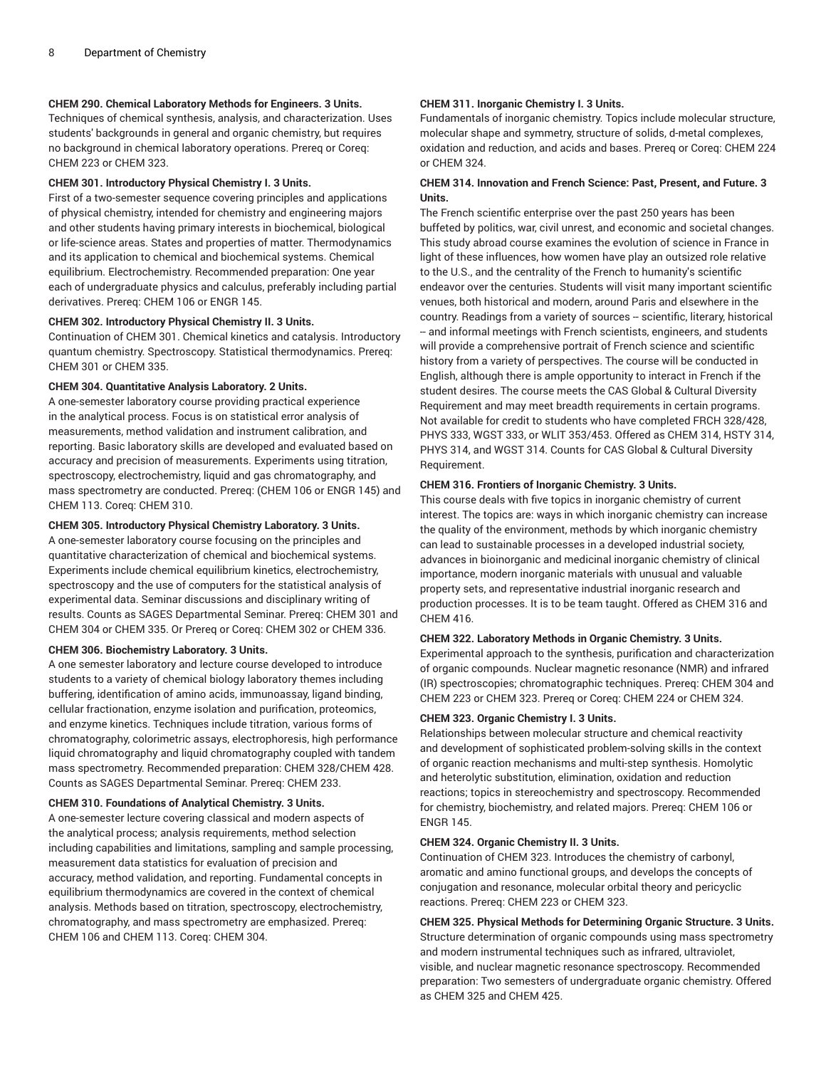#### **CHEM 290. Chemical Laboratory Methods for Engineers. 3 Units.**

Techniques of chemical synthesis, analysis, and characterization. Uses students' backgrounds in general and organic chemistry, but requires no background in chemical laboratory operations. Prereq or Coreq: [CHEM 223](/search/?P=CHEM%20223) or [CHEM 323](/search/?P=CHEM%20323).

#### **CHEM 301. Introductory Physical Chemistry I. 3 Units.**

First of a two-semester sequence covering principles and applications of physical chemistry, intended for chemistry and engineering majors and other students having primary interests in biochemical, biological or life-science areas. States and properties of matter. Thermodynamics and its application to chemical and biochemical systems. Chemical equilibrium. Electrochemistry. Recommended preparation: One year each of undergraduate physics and calculus, preferably including partial derivatives. Prereq: [CHEM 106](/search/?P=CHEM%20106) or [ENGR 145](/search/?P=ENGR%20145).

#### **CHEM 302. Introductory Physical Chemistry II. 3 Units.**

Continuation of [CHEM 301](/search/?P=CHEM%20301). Chemical kinetics and catalysis. Introductory quantum chemistry. Spectroscopy. Statistical thermodynamics. Prereq: [CHEM 301](/search/?P=CHEM%20301) or [CHEM 335](/search/?P=CHEM%20335).

#### **CHEM 304. Quantitative Analysis Laboratory. 2 Units.**

A one-semester laboratory course providing practical experience in the analytical process. Focus is on statistical error analysis of measurements, method validation and instrument calibration, and reporting. Basic laboratory skills are developed and evaluated based on accuracy and precision of measurements. Experiments using titration, spectroscopy, electrochemistry, liquid and gas chromatography, and mass spectrometry are conducted. Prereq: [\(CHEM 106](/search/?P=CHEM%20106) or [ENGR 145](/search/?P=ENGR%20145)) and [CHEM 113.](/search/?P=CHEM%20113) Coreq: [CHEM 310](/search/?P=CHEM%20310).

#### **CHEM 305. Introductory Physical Chemistry Laboratory. 3 Units.**

A one-semester laboratory course focusing on the principles and quantitative characterization of chemical and biochemical systems. Experiments include chemical equilibrium kinetics, electrochemistry, spectroscopy and the use of computers for the statistical analysis of experimental data. Seminar discussions and disciplinary writing of results. Counts as SAGES Departmental Seminar. Prereq: [CHEM 301](/search/?P=CHEM%20301) and [CHEM 304](/search/?P=CHEM%20304) or [CHEM 335](/search/?P=CHEM%20335). Or Prereq or Coreq: [CHEM 302](/search/?P=CHEM%20302) or [CHEM 336](/search/?P=CHEM%20336).

#### **CHEM 306. Biochemistry Laboratory. 3 Units.**

A one semester laboratory and lecture course developed to introduce students to a variety of chemical biology laboratory themes including buffering, identification of amino acids, immunoassay, ligand binding, cellular fractionation, enzyme isolation and purification, proteomics, and enzyme kinetics. Techniques include titration, various forms of chromatography, colorimetric assays, electrophoresis, high performance liquid chromatography and liquid chromatography coupled with tandem mass spectrometry. Recommended preparation: [CHEM 328/](/search/?P=CHEM%20328)[CHEM 428](/search/?P=CHEM%20428). Counts as SAGES Departmental Seminar. Prereq: [CHEM 233](/search/?P=CHEM%20233).

#### **CHEM 310. Foundations of Analytical Chemistry. 3 Units.**

A one-semester lecture covering classical and modern aspects of the analytical process; analysis requirements, method selection including capabilities and limitations, sampling and sample processing, measurement data statistics for evaluation of precision and accuracy, method validation, and reporting. Fundamental concepts in equilibrium thermodynamics are covered in the context of chemical analysis. Methods based on titration, spectroscopy, electrochemistry, chromatography, and mass spectrometry are emphasized. Prereq: [CHEM 106](/search/?P=CHEM%20106) and [CHEM 113](/search/?P=CHEM%20113). Coreq: [CHEM 304](/search/?P=CHEM%20304).

#### **CHEM 311. Inorganic Chemistry I. 3 Units.**

Fundamentals of inorganic chemistry. Topics include molecular structure, molecular shape and symmetry, structure of solids, d-metal complexes, oxidation and reduction, and acids and bases. Prereq or Coreq: [CHEM 224](/search/?P=CHEM%20224) or [CHEM 324.](/search/?P=CHEM%20324)

#### **CHEM 314. Innovation and French Science: Past, Present, and Future. 3 Units.**

The French scientific enterprise over the past 250 years has been buffeted by politics, war, civil unrest, and economic and societal changes. This study abroad course examines the evolution of science in France in light of these influences, how women have play an outsized role relative to the U.S., and the centrality of the French to humanity's scientific endeavor over the centuries. Students will visit many important scientific venues, both historical and modern, around Paris and elsewhere in the country. Readings from a variety of sources -- scientific, literary, historical -- and informal meetings with French scientists, engineers, and students will provide a comprehensive portrait of French science and scientific history from a variety of perspectives. The course will be conducted in English, although there is ample opportunity to interact in French if the student desires. The course meets the CAS Global & Cultural Diversity Requirement and may meet breadth requirements in certain programs. Not available for credit to students who have completed [FRCH 328](/search/?P=FRCH%20328)/428, PHYS 333, [WGST 333,](/search/?P=WGST%20333) or [WLIT](/search/?P=WLIT%20353) 353/453. Offered as [CHEM 314](/search/?P=CHEM%20314), [HSTY](/search/?P=HSTY%20314) 314, [PHYS](/search/?P=PHYS%20314) 314, and [WGST 314](/search/?P=WGST%20314). Counts for CAS Global & Cultural Diversity Requirement.

#### **CHEM 316. Frontiers of Inorganic Chemistry. 3 Units.**

This course deals with five topics in inorganic chemistry of current interest. The topics are: ways in which inorganic chemistry can increase the quality of the environment, methods by which inorganic chemistry can lead to sustainable processes in a developed industrial society, advances in bioinorganic and medicinal inorganic chemistry of clinical importance, modern inorganic materials with unusual and valuable property sets, and representative industrial inorganic research and production processes. It is to be team taught. Offered as [CHEM 316](/search/?P=CHEM%20316) and [CHEM 416](/search/?P=CHEM%20416).

#### **CHEM 322. Laboratory Methods in Organic Chemistry. 3 Units.**

Experimental approach to the synthesis, purification and characterization of organic compounds. Nuclear magnetic resonance (NMR) and infrared (IR) spectroscopies; chromatographic techniques. Prereq: [CHEM 304](/search/?P=CHEM%20304) and [CHEM 223](/search/?P=CHEM%20223) or [CHEM 323.](/search/?P=CHEM%20323) Prereq or Coreq: [CHEM 224](/search/?P=CHEM%20224) or [CHEM 324](/search/?P=CHEM%20324).

#### **CHEM 323. Organic Chemistry I. 3 Units.**

Relationships between molecular structure and chemical reactivity and development of sophisticated problem-solving skills in the context of organic reaction mechanisms and multi-step synthesis. Homolytic and heterolytic substitution, elimination, oxidation and reduction reactions; topics in stereochemistry and spectroscopy. Recommended for chemistry, biochemistry, and related majors. Prereq: [CHEM 106](/search/?P=CHEM%20106) or [ENGR 145.](/search/?P=ENGR%20145)

#### **CHEM 324. Organic Chemistry II. 3 Units.**

Continuation of [CHEM 323.](/search/?P=CHEM%20323) Introduces the chemistry of carbonyl, aromatic and amino functional groups, and develops the concepts of conjugation and resonance, molecular orbital theory and pericyclic reactions. Prereq: [CHEM 223](/search/?P=CHEM%20223) or [CHEM 323.](/search/?P=CHEM%20323)

#### **CHEM 325. Physical Methods for Determining Organic Structure. 3 Units.** Structure determination of organic compounds using mass spectrometry and modern instrumental techniques such as infrared, ultraviolet, visible, and nuclear magnetic resonance spectroscopy. Recommended preparation: Two semesters of undergraduate organic chemistry. Offered as [CHEM 325](/search/?P=CHEM%20325) and [CHEM 425](/search/?P=CHEM%20425).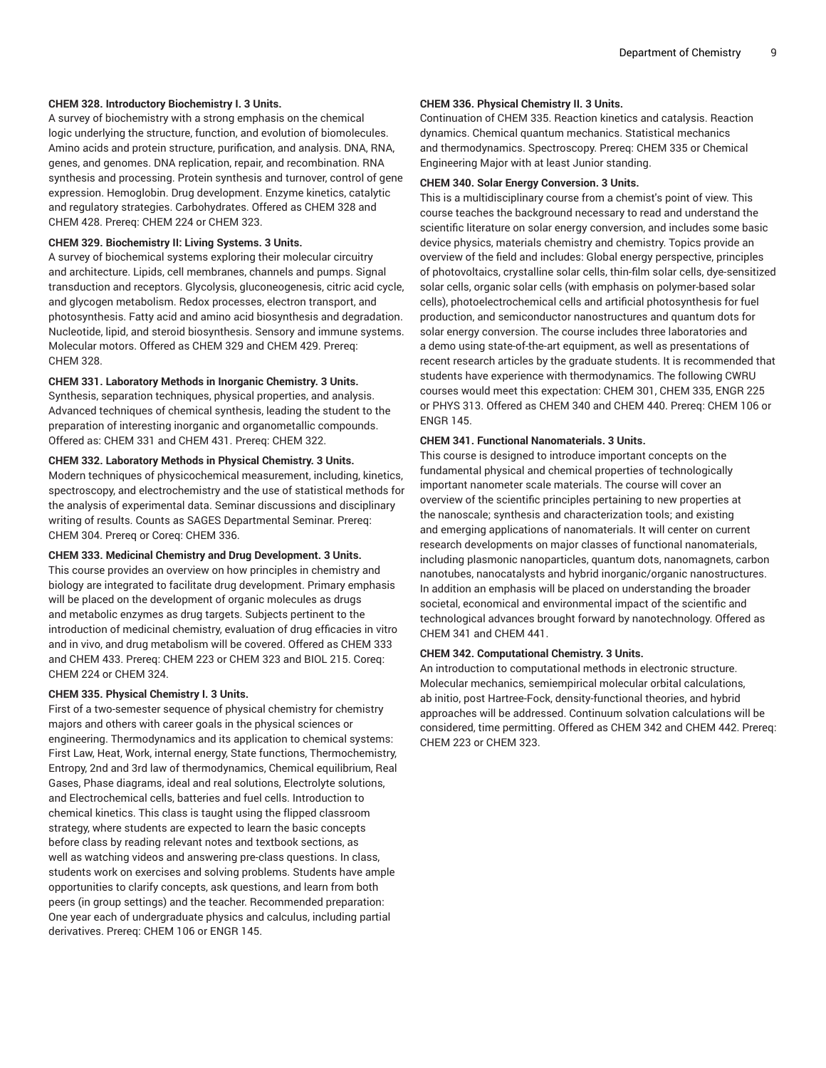#### **CHEM 328. Introductory Biochemistry I. 3 Units.**

A survey of biochemistry with a strong emphasis on the chemical logic underlying the structure, function, and evolution of biomolecules. Amino acids and protein structure, purification, and analysis. DNA, RNA, genes, and genomes. DNA replication, repair, and recombination. RNA synthesis and processing. Protein synthesis and turnover, control of gene expression. Hemoglobin. Drug development. Enzyme kinetics, catalytic and regulatory strategies. Carbohydrates. Offered as [CHEM 328](/search/?P=CHEM%20328) and [CHEM 428.](/search/?P=CHEM%20428) Prereq: [CHEM 224](/search/?P=CHEM%20224) or [CHEM 323.](/search/?P=CHEM%20323)

#### **CHEM 329. Biochemistry II: Living Systems. 3 Units.**

A survey of biochemical systems exploring their molecular circuitry and architecture. Lipids, cell membranes, channels and pumps. Signal transduction and receptors. Glycolysis, gluconeogenesis, citric acid cycle, and glycogen metabolism. Redox processes, electron transport, and photosynthesis. Fatty acid and amino acid biosynthesis and degradation. Nucleotide, lipid, and steroid biosynthesis. Sensory and immune systems. Molecular motors. Offered as [CHEM 329](/search/?P=CHEM%20329) and [CHEM 429.](/search/?P=CHEM%20429) Prereq: [CHEM 328.](/search/?P=CHEM%20328)

#### **CHEM 331. Laboratory Methods in Inorganic Chemistry. 3 Units.**

Synthesis, separation techniques, physical properties, and analysis. Advanced techniques of chemical synthesis, leading the student to the preparation of interesting inorganic and organometallic compounds. Offered as: [CHEM 331](/search/?P=CHEM%20331) and [CHEM 431](/search/?P=CHEM%20431). Prereq: [CHEM 322.](/search/?P=CHEM%20322)

#### **CHEM 332. Laboratory Methods in Physical Chemistry. 3 Units.**

Modern techniques of physicochemical measurement, including, kinetics, spectroscopy, and electrochemistry and the use of statistical methods for the analysis of experimental data. Seminar discussions and disciplinary writing of results. Counts as SAGES Departmental Seminar. Prereq: [CHEM 304.](/search/?P=CHEM%20304) Prereq or Coreq: [CHEM 336.](/search/?P=CHEM%20336)

#### **CHEM 333. Medicinal Chemistry and Drug Development. 3 Units.**

This course provides an overview on how principles in chemistry and biology are integrated to facilitate drug development. Primary emphasis will be placed on the development of organic molecules as drugs and metabolic enzymes as drug targets. Subjects pertinent to the introduction of medicinal chemistry, evaluation of drug efficacies in vitro and in vivo, and drug metabolism will be covered. Offered as [CHEM 333](/search/?P=CHEM%20333) and [CHEM 433](/search/?P=CHEM%20433). Prereq: [CHEM 223](/search/?P=CHEM%20223) or [CHEM 323](/search/?P=CHEM%20323) and [BIOL 215](/search/?P=BIOL%20215). Coreq: [CHEM 224](/search/?P=CHEM%20224) or [CHEM 324](/search/?P=CHEM%20324).

#### **CHEM 335. Physical Chemistry I. 3 Units.**

First of a two-semester sequence of physical chemistry for chemistry majors and others with career goals in the physical sciences or engineering. Thermodynamics and its application to chemical systems: First Law, Heat, Work, internal energy, State functions, Thermochemistry, Entropy, 2nd and 3rd law of thermodynamics, Chemical equilibrium, Real Gases, Phase diagrams, ideal and real solutions, Electrolyte solutions, and Electrochemical cells, batteries and fuel cells. Introduction to chemical kinetics. This class is taught using the flipped classroom strategy, where students are expected to learn the basic concepts before class by reading relevant notes and textbook sections, as well as watching videos and answering pre-class questions. In class, students work on exercises and solving problems. Students have ample opportunities to clarify concepts, ask questions, and learn from both peers (in group settings) and the teacher. Recommended preparation: One year each of undergraduate physics and calculus, including partial derivatives. Prereq: [CHEM 106](/search/?P=CHEM%20106) or [ENGR 145](/search/?P=ENGR%20145).

#### **CHEM 336. Physical Chemistry II. 3 Units.**

Continuation of [CHEM 335.](/search/?P=CHEM%20335) Reaction kinetics and catalysis. Reaction dynamics. Chemical quantum mechanics. Statistical mechanics and thermodynamics. Spectroscopy. Prereq: [CHEM 335](/search/?P=CHEM%20335) or Chemical Engineering Major with at least Junior standing.

#### **CHEM 340. Solar Energy Conversion. 3 Units.**

This is a multidisciplinary course from a chemist's point of view. This course teaches the background necessary to read and understand the scientific literature on solar energy conversion, and includes some basic device physics, materials chemistry and chemistry. Topics provide an overview of the field and includes: Global energy perspective, principles of photovoltaics, crystalline solar cells, thin-film solar cells, dye-sensitized solar cells, organic solar cells (with emphasis on polymer-based solar cells), photoelectrochemical cells and artificial photosynthesis for fuel production, and semiconductor nanostructures and quantum dots for solar energy conversion. The course includes three laboratories and a demo using state-of-the-art equipment, as well as presentations of recent research articles by the graduate students. It is recommended that students have experience with thermodynamics. The following CWRU courses would meet this expectation: [CHEM 301,](/search/?P=CHEM%20301) [CHEM 335](/search/?P=CHEM%20335), [ENGR 225](/search/?P=ENGR%20225) or [PHYS](/search/?P=PHYS%20313) 313. Offered as [CHEM 340](/search/?P=CHEM%20340) and [CHEM 440](/search/?P=CHEM%20440). Prereq: [CHEM 106](/search/?P=CHEM%20106) or [ENGR 145.](/search/?P=ENGR%20145)

#### **CHEM 341. Functional Nanomaterials. 3 Units.**

This course is designed to introduce important concepts on the fundamental physical and chemical properties of technologically important nanometer scale materials. The course will cover an overview of the scientific principles pertaining to new properties at the nanoscale; synthesis and characterization tools; and existing and emerging applications of nanomaterials. It will center on current research developments on major classes of functional nanomaterials, including plasmonic nanoparticles, quantum dots, nanomagnets, carbon nanotubes, nanocatalysts and hybrid inorganic/organic nanostructures. In addition an emphasis will be placed on understanding the broader societal, economical and environmental impact of the scientific and technological advances brought forward by nanotechnology. Offered as [CHEM 341](/search/?P=CHEM%20341) and [CHEM 441.](/search/?P=CHEM%20441)

#### **CHEM 342. Computational Chemistry. 3 Units.**

An introduction to computational methods in electronic structure. Molecular mechanics, semiempirical molecular orbital calculations, ab initio, post Hartree-Fock, density-functional theories, and hybrid approaches will be addressed. Continuum solvation calculations will be considered, time permitting. Offered as [CHEM 342](/search/?P=CHEM%20342) and [CHEM 442](/search/?P=CHEM%20442). Prereq: [CHEM 223](/search/?P=CHEM%20223) or [CHEM 323.](/search/?P=CHEM%20323)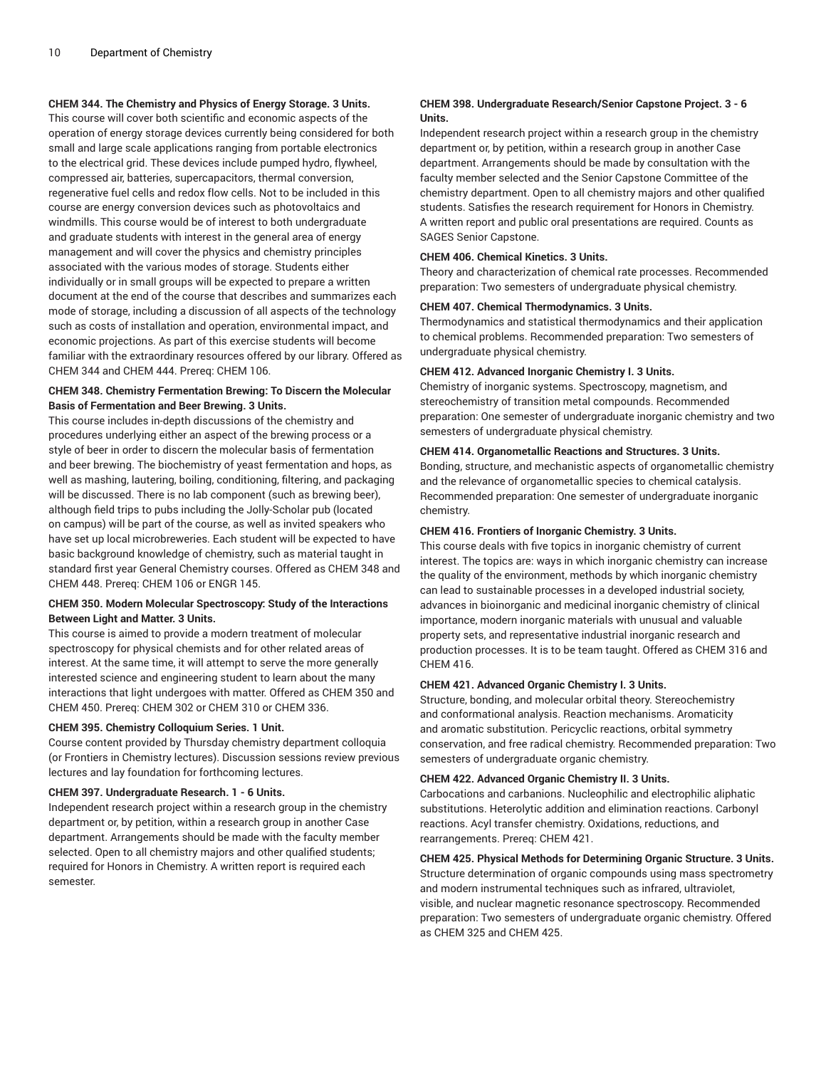### **CHEM 344. The Chemistry and Physics of Energy Storage. 3 Units.**

This course will cover both scientific and economic aspects of the operation of energy storage devices currently being considered for both small and large scale applications ranging from portable electronics to the electrical grid. These devices include pumped hydro, flywheel, compressed air, batteries, supercapacitors, thermal conversion, regenerative fuel cells and redox flow cells. Not to be included in this course are energy conversion devices such as photovoltaics and windmills. This course would be of interest to both undergraduate and graduate students with interest in the general area of energy management and will cover the physics and chemistry principles associated with the various modes of storage. Students either individually or in small groups will be expected to prepare a written document at the end of the course that describes and summarizes each mode of storage, including a discussion of all aspects of the technology such as costs of installation and operation, environmental impact, and economic projections. As part of this exercise students will become familiar with the extraordinary resources offered by our library. Offered as [CHEM 344](/search/?P=CHEM%20344) and [CHEM 444](/search/?P=CHEM%20444). Prereq: [CHEM 106.](/search/?P=CHEM%20106)

#### **CHEM 348. Chemistry Fermentation Brewing: To Discern the Molecular Basis of Fermentation and Beer Brewing. 3 Units.**

This course includes in-depth discussions of the chemistry and procedures underlying either an aspect of the brewing process or a style of beer in order to discern the molecular basis of fermentation and beer brewing. The biochemistry of yeast fermentation and hops, as well as mashing, lautering, boiling, conditioning, filtering, and packaging will be discussed. There is no lab component (such as brewing beer), although field trips to pubs including the Jolly-Scholar pub (located on campus) will be part of the course, as well as invited speakers who have set up local microbreweries. Each student will be expected to have basic background knowledge of chemistry, such as material taught in standard first year General Chemistry courses. Offered as [CHEM 348](/search/?P=CHEM%20348) and [CHEM 448.](/search/?P=CHEM%20448) Prereq: [CHEM 106](/search/?P=CHEM%20106) or [ENGR 145](/search/?P=ENGR%20145).

#### **CHEM 350. Modern Molecular Spectroscopy: Study of the Interactions Between Light and Matter. 3 Units.**

This course is aimed to provide a modern treatment of molecular spectroscopy for physical chemists and for other related areas of interest. At the same time, it will attempt to serve the more generally interested science and engineering student to learn about the many interactions that light undergoes with matter. Offered as [CHEM 350](/search/?P=CHEM%20350) and [CHEM 450.](/search/?P=CHEM%20450) Prereq: [CHEM 302](/search/?P=CHEM%20302) or [CHEM 310](/search/?P=CHEM%20310) or [CHEM 336.](/search/?P=CHEM%20336)

#### **CHEM 395. Chemistry Colloquium Series. 1 Unit.**

Course content provided by Thursday chemistry department colloquia (or Frontiers in Chemistry lectures). Discussion sessions review previous lectures and lay foundation for forthcoming lectures.

#### **CHEM 397. Undergraduate Research. 1 - 6 Units.**

Independent research project within a research group in the chemistry department or, by petition, within a research group in another Case department. Arrangements should be made with the faculty member selected. Open to all chemistry majors and other qualified students; required for Honors in Chemistry. A written report is required each semester.

#### **CHEM 398. Undergraduate Research/Senior Capstone Project. 3 - 6 Units.**

Independent research project within a research group in the chemistry department or, by petition, within a research group in another Case department. Arrangements should be made by consultation with the faculty member selected and the Senior Capstone Committee of the chemistry department. Open to all chemistry majors and other qualified students. Satisfies the research requirement for Honors in Chemistry. A written report and public oral presentations are required. Counts as SAGES Senior Capstone.

#### **CHEM 406. Chemical Kinetics. 3 Units.**

Theory and characterization of chemical rate processes. Recommended preparation: Two semesters of undergraduate physical chemistry.

#### **CHEM 407. Chemical Thermodynamics. 3 Units.**

Thermodynamics and statistical thermodynamics and their application to chemical problems. Recommended preparation: Two semesters of undergraduate physical chemistry.

#### **CHEM 412. Advanced Inorganic Chemistry I. 3 Units.**

Chemistry of inorganic systems. Spectroscopy, magnetism, and stereochemistry of transition metal compounds. Recommended preparation: One semester of undergraduate inorganic chemistry and two semesters of undergraduate physical chemistry.

#### **CHEM 414. Organometallic Reactions and Structures. 3 Units.**

Bonding, structure, and mechanistic aspects of organometallic chemistry and the relevance of organometallic species to chemical catalysis. Recommended preparation: One semester of undergraduate inorganic chemistry.

#### **CHEM 416. Frontiers of Inorganic Chemistry. 3 Units.**

This course deals with five topics in inorganic chemistry of current interest. The topics are: ways in which inorganic chemistry can increase the quality of the environment, methods by which inorganic chemistry can lead to sustainable processes in a developed industrial society, advances in bioinorganic and medicinal inorganic chemistry of clinical importance, modern inorganic materials with unusual and valuable property sets, and representative industrial inorganic research and production processes. It is to be team taught. Offered as [CHEM 316](/search/?P=CHEM%20316) and [CHEM 416](/search/?P=CHEM%20416).

#### **CHEM 421. Advanced Organic Chemistry I. 3 Units.**

Structure, bonding, and molecular orbital theory. Stereochemistry and conformational analysis. Reaction mechanisms. Aromaticity and aromatic substitution. Pericyclic reactions, orbital symmetry conservation, and free radical chemistry. Recommended preparation: Two semesters of undergraduate organic chemistry.

#### **CHEM 422. Advanced Organic Chemistry II. 3 Units.**

Carbocations and carbanions. Nucleophilic and electrophilic aliphatic substitutions. Heterolytic addition and elimination reactions. Carbonyl reactions. Acyl transfer chemistry. Oxidations, reductions, and rearrangements. Prereq: [CHEM 421](/search/?P=CHEM%20421).

#### **CHEM 425. Physical Methods for Determining Organic Structure. 3 Units.**

Structure determination of organic compounds using mass spectrometry and modern instrumental techniques such as infrared, ultraviolet, visible, and nuclear magnetic resonance spectroscopy. Recommended preparation: Two semesters of undergraduate organic chemistry. Offered as [CHEM 325](/search/?P=CHEM%20325) and [CHEM 425](/search/?P=CHEM%20425).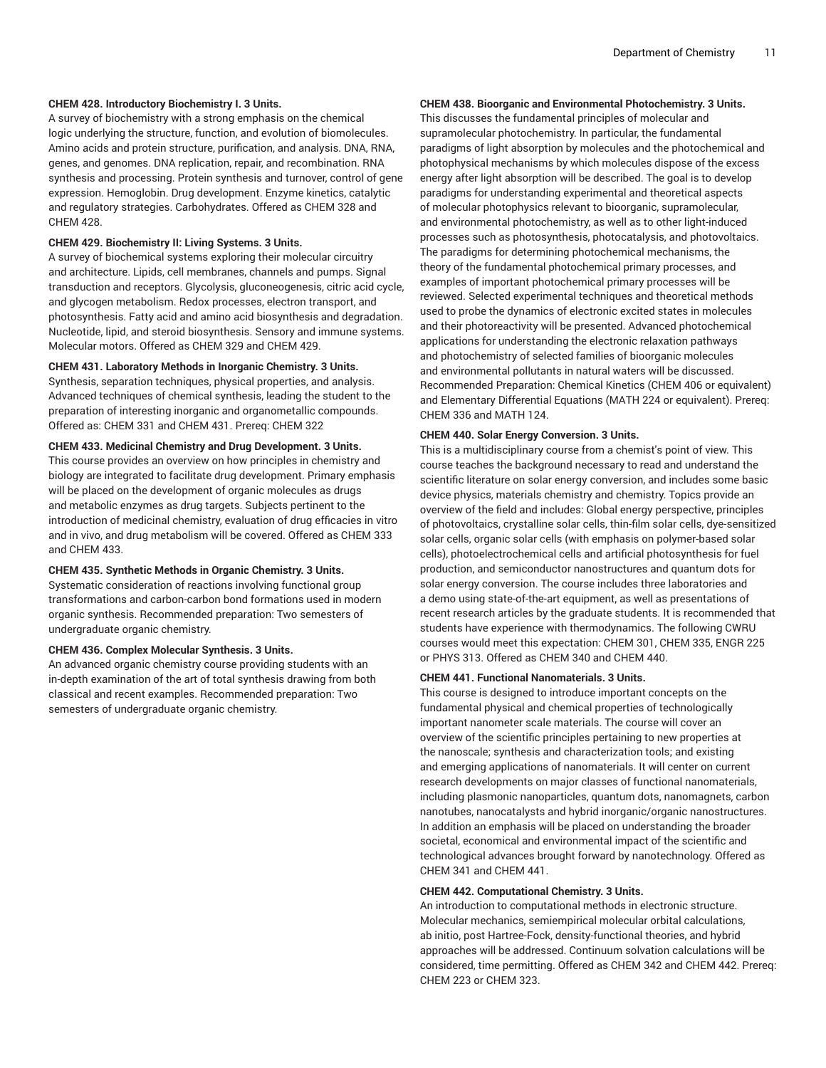#### **CHEM 428. Introductory Biochemistry I. 3 Units.**

A survey of biochemistry with a strong emphasis on the chemical logic underlying the structure, function, and evolution of biomolecules. Amino acids and protein structure, purification, and analysis. DNA, RNA, genes, and genomes. DNA replication, repair, and recombination. RNA synthesis and processing. Protein synthesis and turnover, control of gene expression. Hemoglobin. Drug development. Enzyme kinetics, catalytic and regulatory strategies. Carbohydrates. Offered as [CHEM 328](/search/?P=CHEM%20328) and [CHEM 428.](/search/?P=CHEM%20428)

#### **CHEM 429. Biochemistry II: Living Systems. 3 Units.**

A survey of biochemical systems exploring their molecular circuitry and architecture. Lipids, cell membranes, channels and pumps. Signal transduction and receptors. Glycolysis, gluconeogenesis, citric acid cycle, and glycogen metabolism. Redox processes, electron transport, and photosynthesis. Fatty acid and amino acid biosynthesis and degradation. Nucleotide, lipid, and steroid biosynthesis. Sensory and immune systems. Molecular motors. Offered as [CHEM 329](/search/?P=CHEM%20329) and [CHEM 429.](/search/?P=CHEM%20429)

#### **CHEM 431. Laboratory Methods in Inorganic Chemistry. 3 Units.**

Synthesis, separation techniques, physical properties, and analysis. Advanced techniques of chemical synthesis, leading the student to the preparation of interesting inorganic and organometallic compounds. Offered as: [CHEM 331](/search/?P=CHEM%20331) and [CHEM 431](/search/?P=CHEM%20431). Prereq: [CHEM 322](/search/?P=CHEM%20322)

#### **CHEM 433. Medicinal Chemistry and Drug Development. 3 Units.**

This course provides an overview on how principles in chemistry and biology are integrated to facilitate drug development. Primary emphasis will be placed on the development of organic molecules as drugs and metabolic enzymes as drug targets. Subjects pertinent to the introduction of medicinal chemistry, evaluation of drug efficacies in vitro and in vivo, and drug metabolism will be covered. Offered as [CHEM 333](/search/?P=CHEM%20333) and [CHEM 433](/search/?P=CHEM%20433).

#### **CHEM 435. Synthetic Methods in Organic Chemistry. 3 Units.**

Systematic consideration of reactions involving functional group transformations and carbon-carbon bond formations used in modern organic synthesis. Recommended preparation: Two semesters of undergraduate organic chemistry.

#### **CHEM 436. Complex Molecular Synthesis. 3 Units.**

An advanced organic chemistry course providing students with an in-depth examination of the art of total synthesis drawing from both classical and recent examples. Recommended preparation: Two semesters of undergraduate organic chemistry.

### **CHEM 438. Bioorganic and Environmental Photochemistry. 3 Units.**

This discusses the fundamental principles of molecular and supramolecular photochemistry. In particular, the fundamental paradigms of light absorption by molecules and the photochemical and photophysical mechanisms by which molecules dispose of the excess energy after light absorption will be described. The goal is to develop paradigms for understanding experimental and theoretical aspects of molecular photophysics relevant to bioorganic, supramolecular, and environmental photochemistry, as well as to other light-induced processes such as photosynthesis, photocatalysis, and photovoltaics. The paradigms for determining photochemical mechanisms, the theory of the fundamental photochemical primary processes, and examples of important photochemical primary processes will be reviewed. Selected experimental techniques and theoretical methods used to probe the dynamics of electronic excited states in molecules and their photoreactivity will be presented. Advanced photochemical applications for understanding the electronic relaxation pathways and photochemistry of selected families of bioorganic molecules and environmental pollutants in natural waters will be discussed. Recommended Preparation: Chemical Kinetics ([CHEM 406](/search/?P=CHEM%20406) or equivalent) and Elementary Differential Equations ([MATH](/search/?P=MATH%20224) 224 or equivalent). Prereq: [CHEM 336](/search/?P=CHEM%20336) and [MATH](/search/?P=MATH%20124) 124.

#### **CHEM 440. Solar Energy Conversion. 3 Units.**

This is a multidisciplinary course from a chemist's point of view. This course teaches the background necessary to read and understand the scientific literature on solar energy conversion, and includes some basic device physics, materials chemistry and chemistry. Topics provide an overview of the field and includes: Global energy perspective, principles of photovoltaics, crystalline solar cells, thin-film solar cells, dye-sensitized solar cells, organic solar cells (with emphasis on polymer-based solar cells), photoelectrochemical cells and artificial photosynthesis for fuel production, and semiconductor nanostructures and quantum dots for solar energy conversion. The course includes three laboratories and a demo using state-of-the-art equipment, as well as presentations of recent research articles by the graduate students. It is recommended that students have experience with thermodynamics. The following CWRU courses would meet this expectation: [CHEM 301,](/search/?P=CHEM%20301) [CHEM 335](/search/?P=CHEM%20335), [ENGR 225](/search/?P=ENGR%20225) or [PHYS](/search/?P=PHYS%20313) 313. Offered as [CHEM 340](/search/?P=CHEM%20340) and [CHEM 440](/search/?P=CHEM%20440).

#### **CHEM 441. Functional Nanomaterials. 3 Units.**

This course is designed to introduce important concepts on the fundamental physical and chemical properties of technologically important nanometer scale materials. The course will cover an overview of the scientific principles pertaining to new properties at the nanoscale; synthesis and characterization tools; and existing and emerging applications of nanomaterials. It will center on current research developments on major classes of functional nanomaterials, including plasmonic nanoparticles, quantum dots, nanomagnets, carbon nanotubes, nanocatalysts and hybrid inorganic/organic nanostructures. In addition an emphasis will be placed on understanding the broader societal, economical and environmental impact of the scientific and technological advances brought forward by nanotechnology. Offered as [CHEM 341](/search/?P=CHEM%20341) and [CHEM 441.](/search/?P=CHEM%20441)

#### **CHEM 442. Computational Chemistry. 3 Units.**

An introduction to computational methods in electronic structure. Molecular mechanics, semiempirical molecular orbital calculations, ab initio, post Hartree-Fock, density-functional theories, and hybrid approaches will be addressed. Continuum solvation calculations will be considered, time permitting. Offered as [CHEM 342](/search/?P=CHEM%20342) and [CHEM 442](/search/?P=CHEM%20442). Prereq: [CHEM 223](/search/?P=CHEM%20223) or [CHEM 323.](/search/?P=CHEM%20323)